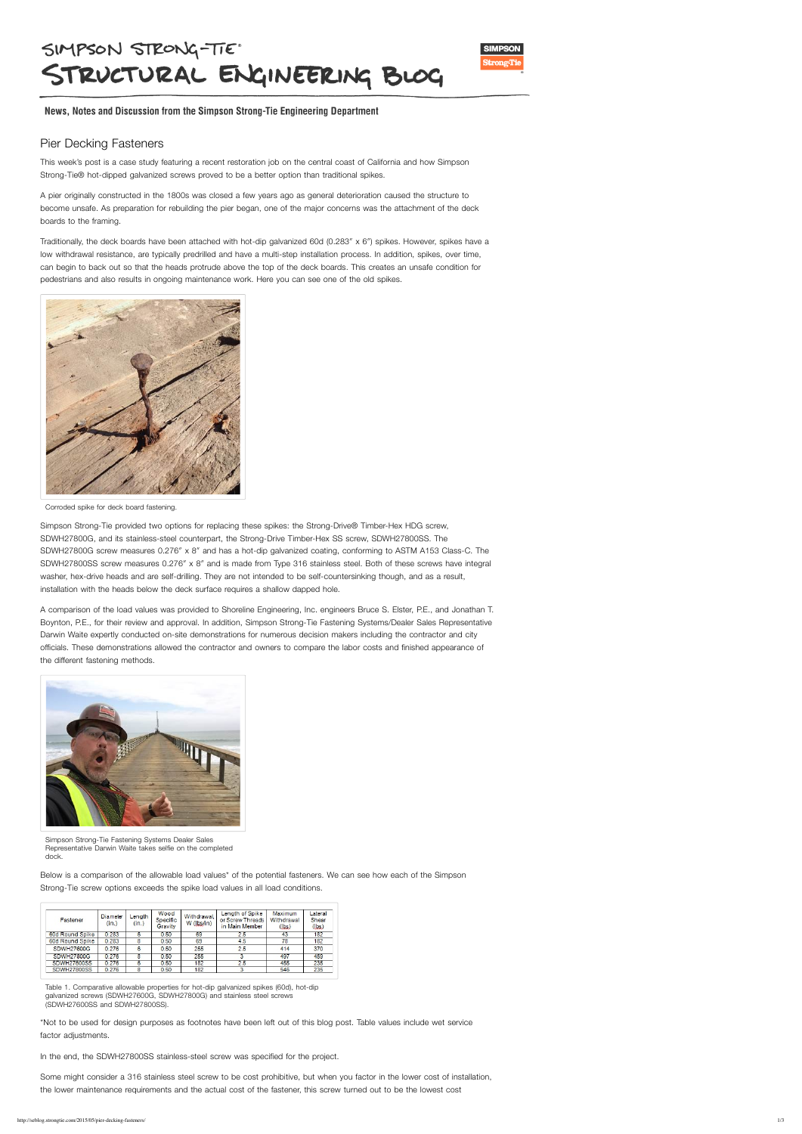## SIMPSON STRONG-TIE STRUCTURAL ENGINEERING BLOG



News, Notes and Discussion from the Simpson Strong-Tie Engineering Department

## Pier Decking Fasteners

This week's post is a case study featuring a recent restoration job on the central coast of California and how Simpson Strong-Tie® hot-dipped galvanized screws proved to be a better option than traditional spikes.

A pier originally constructed in the 1800s was closed a few years ago as general deterioration caused the structure to become unsafe. As preparation for rebuilding the pier began, one of the major concerns was the attachment of the deck boards to the framing.

Traditionally, the deck boards have been attached with hot-dip galvanized 60d (0.283″ x 6″) spikes. However, spikes have a low withdrawal resistance, are typically predrilled and have a multi-step installation process. In addition, spikes, over time, can begin to back out so that the heads protrude above the top of the deck boards. This creates an unsafe condition for pedestrians and also results in ongoing maintenance work. Here you can see one of the old spikes.

Simpson Strong-Tie provided two options for replacing these spikes: the Strong-Drive® Timber-Hex HDG screw, SDWH27800G, and its stainless-steel counterpart, the Strong-Drive Timber-Hex SS screw, SDWH27800SS. The SDWH27800G screw measures 0.276″ x 8″ and has a hot-dip galvanized coating, conforming to ASTM A153 Class-C. The SDWH27800SS screw measures 0.276″ x 8″ and is made from Type 316 stainless steel. Both of these screws have integral washer, hex-drive heads and are self-drilling. They are not intended to be self-countersinking though, and as a result, installation with the heads below the deck surface requires a shallow dapped hole.

A comparison of the load values was provided to Shoreline Engineering, Inc. engineers Bruce S. Elster, P.E., and Jonathan T. Boynton, P.E., for their review and approval. In addition, Simpson Strong-Tie Fastening Systems/Dealer Sales Representative Darwin Waite expertly conducted on-site demonstrations for numerous decision makers including the contractor and city officials. These demonstrations allowed the contractor and owners to compare the labor costs and finished appearance of the different fastening methods.



Below is a comparison of the allowable load values\* of the potential fasteners. We can see how each of the Simpson

Strong-Tie screw options exceeds the spike load values in all load conditions.

| Fastener           | Diameter<br>(in.) | Length<br>(in.) | Wood<br>Specific<br>Gravity | Withdrawal.<br>W (Ibs/in) | Length of Spike<br>or Screw Threads<br>in Main Member | Maximum<br>Withdrawal<br>(lbs) | Lateral<br>Shear<br>(lbs) |
|--------------------|-------------------|-----------------|-----------------------------|---------------------------|-------------------------------------------------------|--------------------------------|---------------------------|
| 60d Round Spike    | 0.283             | 6               | 0.50                        | 69                        | 2.5                                                   | 43                             | 182                       |
| 60d Round Spike    | 0.283             | 8               | 0.50                        | 69                        | 4.5                                                   | 78                             | 182                       |
| SDWH27600G         | 0.276             | 6               | 0.50                        | 255                       | 2.5                                                   | 414                            | 370                       |
| SDWH27800G         | 0.276             | 8               | 0.50                        | 255                       |                                                       | 497                            | 459                       |
| <b>SDWH27600SS</b> | 0.276             | 6               | 0.50                        | 182                       | 2.5                                                   | 455                            | 235                       |
| SDWH27800SS        | 0.276             | 8               | 0.50                        | 182                       |                                                       | 546                            | 235                       |

\*Not to be used for design purposes as footnotes have been left out of this blog post. Table values include wet service factor adjustments.

In the end, the SDWH27800SS stainless-steel screw was specified for the project.

Some might consider a 316 stainless steel screw to be cost prohibitive, but when you factor in the lower cost of installation, the lower maintenance requirements and the actual cost of the fastener, this screw turned out to be the lowest cost



Corroded spike for deck board fastening.

Simpson Strong-Tie Fastening Systems Dealer Sales Representative Darwin Waite takes selfie on the completed dock.

Table 1. Comparative allowable properties for hot-dip galvanized spikes (60d), hot-dip galvanized screws (SDWH27600G, SDWH27800G) and stainless steel screws (SDWH27600SS and SDWH27800SS).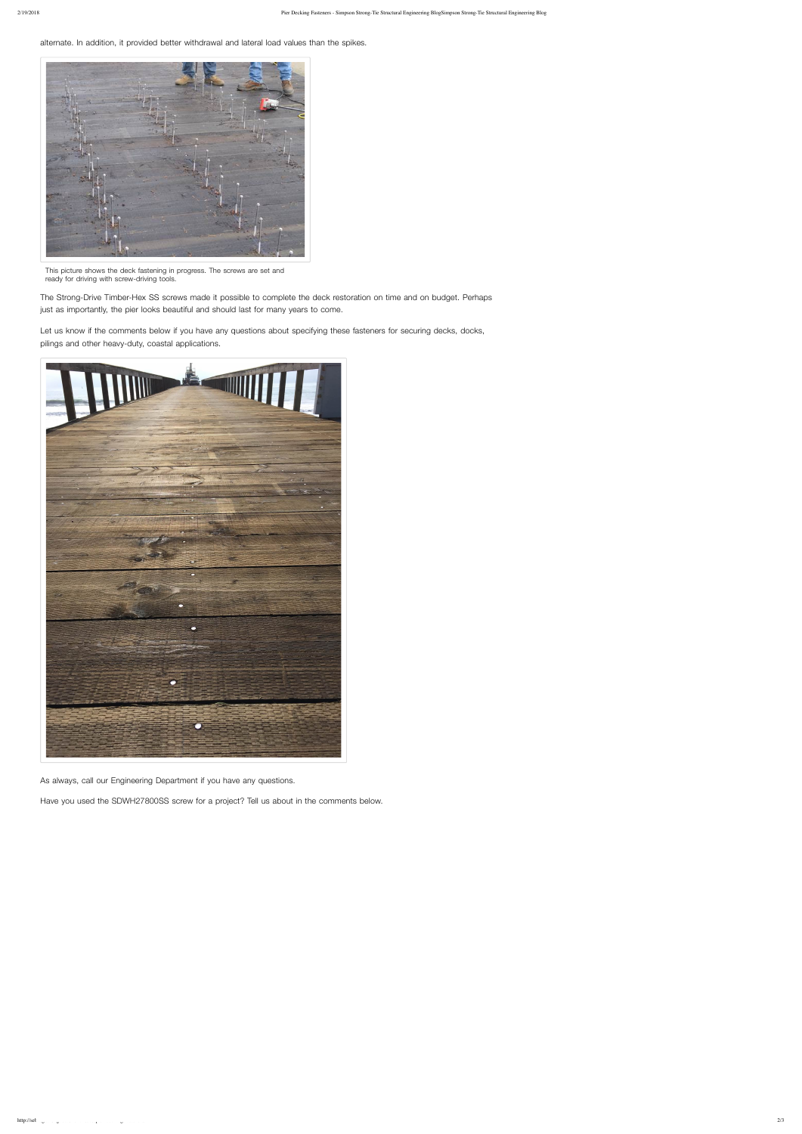alternate. In addition, it provided better withdrawal and lateral load values than the spikes.

The Strong-Drive Timber-Hex SS screws made it possible to complete the deck restoration on time and on budget. Perhaps just as importantly, the pier looks beautiful and should last for many years to come.

Let us know if the comments below if you have any questions about specifying these fasteners for securing decks, docks, pilings and other heavy-duty, coastal applications.



As always, call our Engineering Department if you have any questions.

Have you used the SDWH27800SS screw for a project? Tell us about in the comments below.



This picture shows the deck fastening in progress. The screws are set and ready for driving with screw-driving tools.